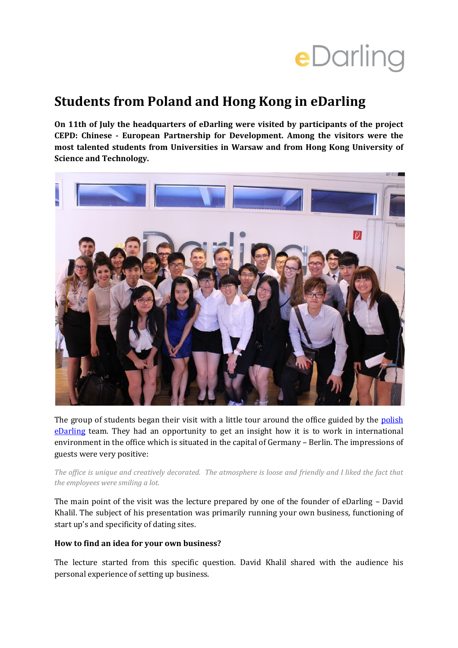# eDarling

## **Students from Poland and Hong Kong in eDarling**

**On 11th of July the headquarters of eDarling were visited by participants of the project CEPD: Chinese - European Partnership for Development. Among the visitors were the most talented students from Universities in Warsaw and from Hong Kong University of Science and Technology.**



The group of students began their visit with a little tour around the office guided by the polish [eDarling](http://www.edarling.pl/) team. They had an opportunity to get an insight how it is to work in international environment in the office which is situated in the capital of Germany – Berlin. The impressions of guests were very positive:

*The office is unique and creatively decorated. The atmosphere is loose and friendly and I liked the fact that the employees were smiling a lot.*

The main point of the visit was the lecture prepared by one of the founder of eDarling – David Khalil. The subject of his presentation was primarily running your own business, functioning of start up's and specificity of dating sites.

#### **How to find an idea for your own business?**

The lecture started from this specific question. David Khalil shared with the audience his personal experience of setting up business.